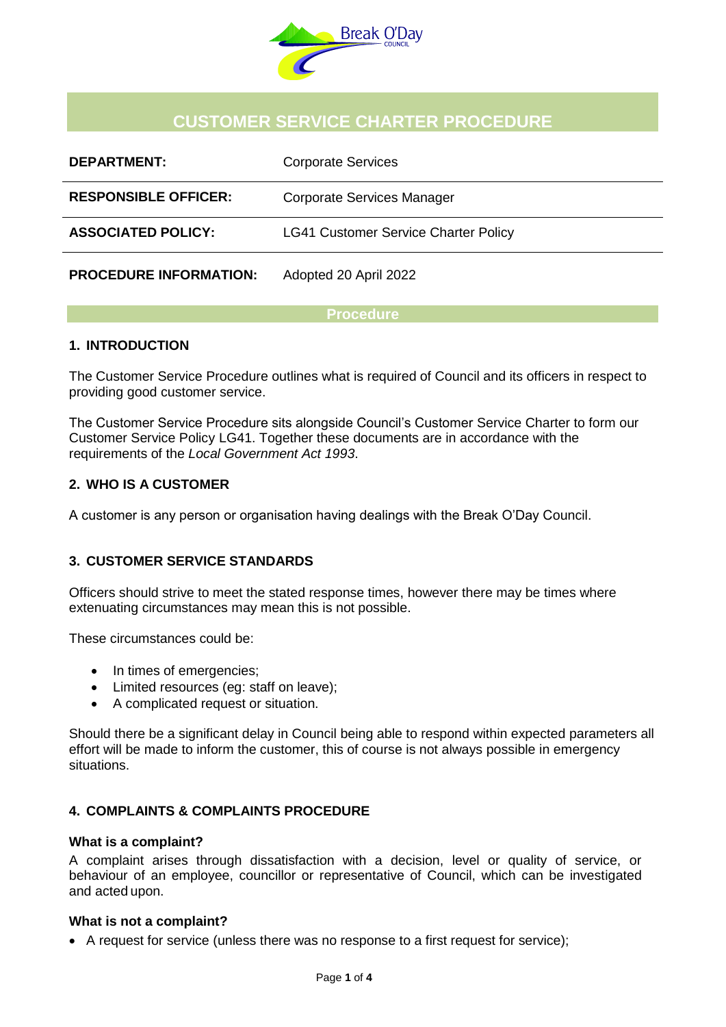

# **CUSTOMER SERVICE CHARTER PROCEDURE**

| <b>DEPARTMENT:</b>            | <b>Corporate Services</b>                   |
|-------------------------------|---------------------------------------------|
| <b>RESPONSIBLE OFFICER:</b>   | Corporate Services Manager                  |
| <b>ASSOCIATED POLICY:</b>     | <b>LG41 Customer Service Charter Policy</b> |
| <b>PROCEDURE INFORMATION:</b> | Adopted 20 April 2022                       |

#### **Procedure**

# **1. INTRODUCTION**

The Customer Service Procedure outlines what is required of Council and its officers in respect to providing good customer service.

The Customer Service Procedure sits alongside Council's Customer Service Charter to form our Customer Service Policy LG41. Together these documents are in accordance with the requirements of the *Local Government Act 1993*.

# **2. WHO IS A CUSTOMER**

A customer is any person or organisation having dealings with the Break O'Day Council.

# **3. CUSTOMER SERVICE STANDARDS**

Officers should strive to meet the stated response times, however there may be times where extenuating circumstances may mean this is not possible.

These circumstances could be:

- In times of emergencies:
- Limited resources (eg: staff on leave);
- A complicated request or situation.

Should there be a significant delay in Council being able to respond within expected parameters all effort will be made to inform the customer, this of course is not always possible in emergency situations.

# **4. COMPLAINTS & COMPLAINTS PROCEDURE**

#### **What is a complaint?**

A complaint arises through dissatisfaction with a decision, level or quality of service, or behaviour of an employee, councillor or representative of Council, which can be investigated and acted upon.

#### **What is not a complaint?**

A request for service (unless there was no response to a first request for service);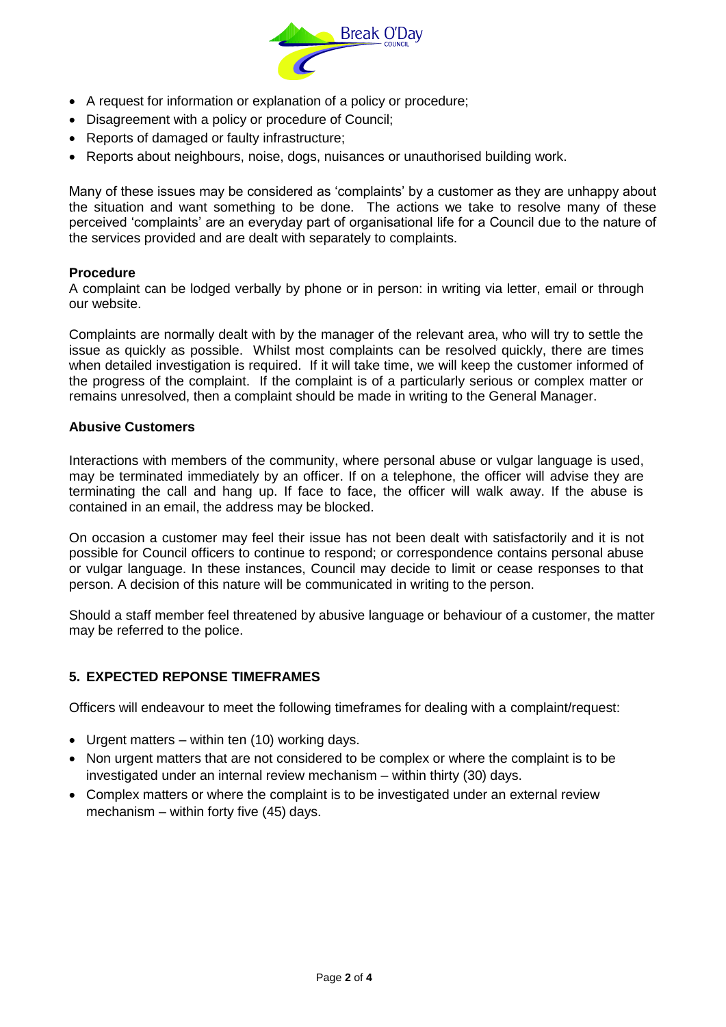

- A request for information or explanation of a policy or procedure;
- Disagreement with a policy or procedure of Council;
- Reports of damaged or faulty infrastructure;
- Reports about neighbours, noise, dogs, nuisances or unauthorised building work.

Many of these issues may be considered as 'complaints' by a customer as they are unhappy about the situation and want something to be done. The actions we take to resolve many of these perceived 'complaints' are an everyday part of organisational life for a Council due to the nature of the services provided and are dealt with separately to complaints.

#### **Procedure**

A complaint can be lodged verbally by phone or in person: in writing via letter, email or through our website.

Complaints are normally dealt with by the manager of the relevant area, who will try to settle the issue as quickly as possible. Whilst most complaints can be resolved quickly, there are times when detailed investigation is required. If it will take time, we will keep the customer informed of the progress of the complaint. If the complaint is of a particularly serious or complex matter or remains unresolved, then a complaint should be made in writing to the General Manager.

#### **Abusive Customers**

Interactions with members of the community, where personal abuse or vulgar language is used, may be terminated immediately by an officer. If on a telephone, the officer will advise they are terminating the call and hang up. If face to face, the officer will walk away. If the abuse is contained in an email, the address may be blocked.

On occasion a customer may feel their issue has not been dealt with satisfactorily and it is not possible for Council officers to continue to respond; or correspondence contains personal abuse or vulgar language. In these instances, Council may decide to limit or cease responses to that person. A decision of this nature will be communicated in writing to the person.

Should a staff member feel threatened by abusive language or behaviour of a customer, the matter may be referred to the police.

# **5. EXPECTED REPONSE TIMEFRAMES**

Officers will endeavour to meet the following timeframes for dealing with a complaint/request:

- Urgent matters within ten (10) working days.
- Non urgent matters that are not considered to be complex or where the complaint is to be investigated under an internal review mechanism – within thirty (30) days.
- Complex matters or where the complaint is to be investigated under an external review mechanism – within forty five (45) days.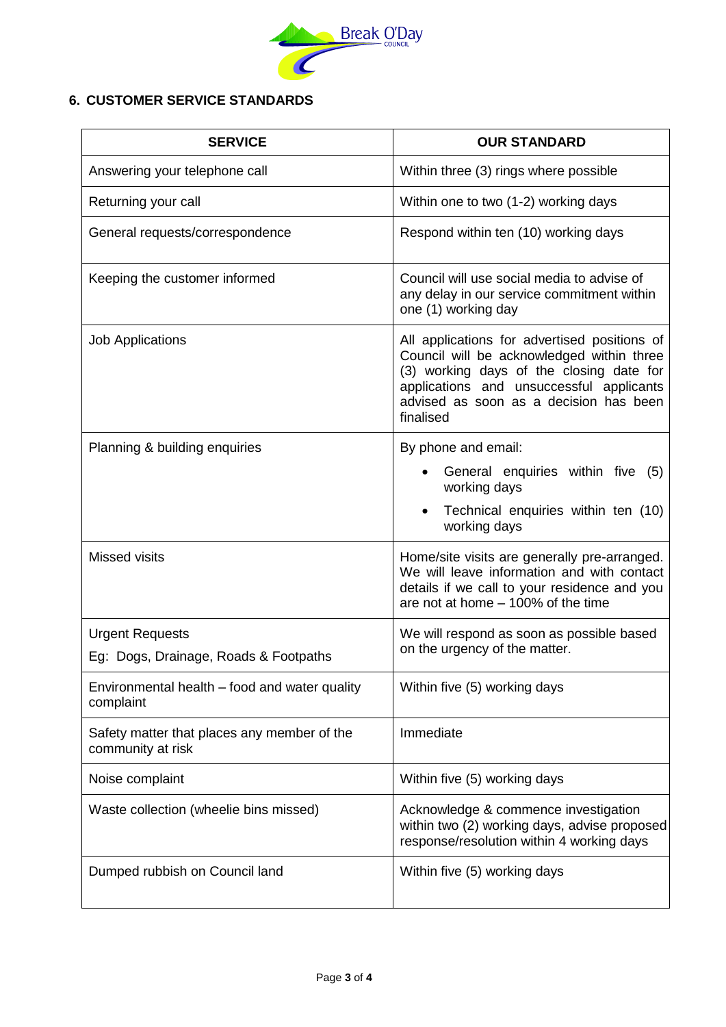

# **6. CUSTOMER SERVICE STANDARDS**

| <b>SERVICE</b>                                                   | <b>OUR STANDARD</b>                                                                                                                                                                                                                      |  |  |  |
|------------------------------------------------------------------|------------------------------------------------------------------------------------------------------------------------------------------------------------------------------------------------------------------------------------------|--|--|--|
| Answering your telephone call                                    | Within three (3) rings where possible                                                                                                                                                                                                    |  |  |  |
| Returning your call                                              | Within one to two (1-2) working days                                                                                                                                                                                                     |  |  |  |
| General requests/correspondence                                  | Respond within ten (10) working days                                                                                                                                                                                                     |  |  |  |
| Keeping the customer informed                                    | Council will use social media to advise of<br>any delay in our service commitment within<br>one (1) working day                                                                                                                          |  |  |  |
| <b>Job Applications</b>                                          | All applications for advertised positions of<br>Council will be acknowledged within three<br>(3) working days of the closing date for<br>applications and unsuccessful applicants<br>advised as soon as a decision has been<br>finalised |  |  |  |
| Planning & building enquiries                                    | By phone and email:<br>General enquiries within five (5)<br>working days<br>Technical enquiries within ten (10)<br>working days                                                                                                          |  |  |  |
| <b>Missed visits</b>                                             | Home/site visits are generally pre-arranged.<br>We will leave information and with contact<br>details if we call to your residence and you<br>are not at home - 100% of the time                                                         |  |  |  |
| <b>Urgent Requests</b><br>Eg: Dogs, Drainage, Roads & Footpaths  | We will respond as soon as possible based<br>on the urgency of the matter.                                                                                                                                                               |  |  |  |
| Environmental health – food and water quality<br>complaint       | Within five (5) working days                                                                                                                                                                                                             |  |  |  |
| Safety matter that places any member of the<br>community at risk | Immediate                                                                                                                                                                                                                                |  |  |  |
| Noise complaint                                                  | Within five (5) working days                                                                                                                                                                                                             |  |  |  |
| Waste collection (wheelie bins missed)                           | Acknowledge & commence investigation<br>within two (2) working days, advise proposed<br>response/resolution within 4 working days                                                                                                        |  |  |  |
| Dumped rubbish on Council land                                   | Within five (5) working days                                                                                                                                                                                                             |  |  |  |